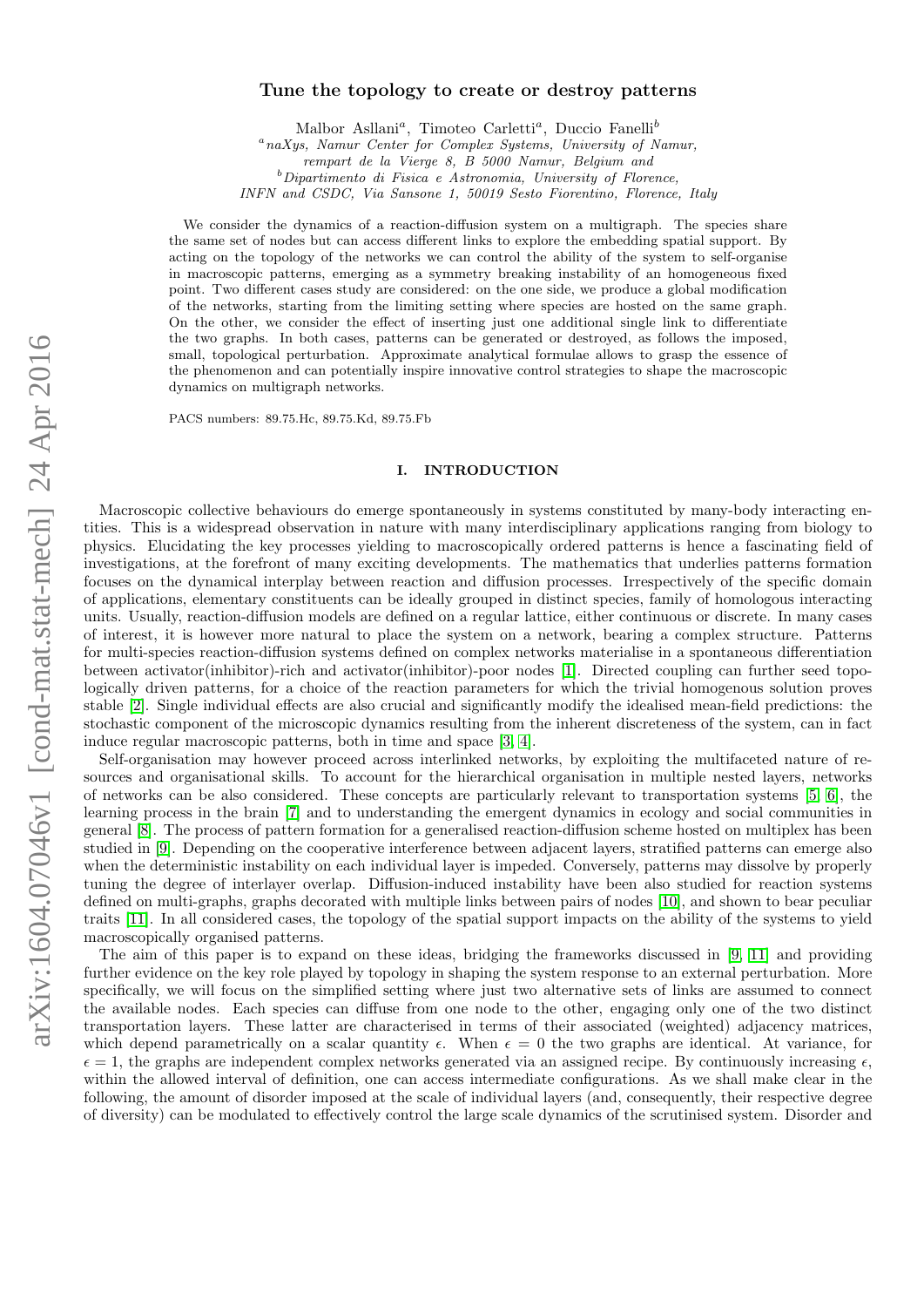# arXiv:1604.07046v1 [cond-mat.stat-mech] 24 Apr 2016 arXiv:1604.07046v1 [cond-mat.stat-mech] 24 Apr 2016

# Tune the topology to create or destroy patterns

Malbor Asllani<sup>a</sup>, Timoteo Carletti<sup>a</sup>, Duccio Fanelli<sup>b</sup>

 $a<sup>a</sup>$ naXys, Namur Center for Complex Systems, University of Namur,

rempart de la Vierge 8, B 5000 Namur, Belgium and

 $b$ Dipartimento di Fisica e Astronomia, University of Florence,

INFN and CSDC, Via Sansone 1, 50019 Sesto Fiorentino, Florence, Italy

We consider the dynamics of a reaction-diffusion system on a multigraph. The species share the same set of nodes but can access different links to explore the embedding spatial support. By acting on the topology of the networks we can control the ability of the system to self-organise in macroscopic patterns, emerging as a symmetry breaking instability of an homogeneous fixed point. Two different cases study are considered: on the one side, we produce a global modification of the networks, starting from the limiting setting where species are hosted on the same graph. On the other, we consider the effect of inserting just one additional single link to differentiate the two graphs. In both cases, patterns can be generated or destroyed, as follows the imposed, small, topological perturbation. Approximate analytical formulae allows to grasp the essence of the phenomenon and can potentially inspire innovative control strategies to shape the macroscopic dynamics on multigraph networks.

PACS numbers: 89.75.Hc, 89.75.Kd, 89.75.Fb

## I. INTRODUCTION

Macroscopic collective behaviours do emerge spontaneously in systems constituted by many-body interacting entities. This is a widespread observation in nature with many interdisciplinary applications ranging from biology to physics. Elucidating the key processes yielding to macroscopically ordered patterns is hence a fascinating field of investigations, at the forefront of many exciting developments. The mathematics that underlies patterns formation focuses on the dynamical interplay between reaction and diffusion processes. Irrespectively of the specific domain of applications, elementary constituents can be ideally grouped in distinct species, family of homologous interacting units. Usually, reaction-diffusion models are defined on a regular lattice, either continuous or discrete. In many cases of interest, it is however more natural to place the system on a network, bearing a complex structure. Patterns for multi-species reaction-diffusion systems defined on complex networks materialise in a spontaneous differentiation between activator(inhibitor)-rich and activator(inhibitor)-poor nodes [\[1\]](#page-10-0). Directed coupling can further seed topologically driven patterns, for a choice of the reaction parameters for which the trivial homogenous solution proves stable [\[2\]](#page-10-1). Single individual effects are also crucial and significantly modify the idealised mean-field predictions: the stochastic component of the microscopic dynamics resulting from the inherent discreteness of the system, can in fact induce regular macroscopic patterns, both in time and space [\[3,](#page-10-2) [4\]](#page-10-3).

Self-organisation may however proceed across interlinked networks, by exploiting the multifaceted nature of resources and organisational skills. To account for the hierarchical organisation in multiple nested layers, networks of networks can be also considered. These concepts are particularly relevant to transportation systems [\[5,](#page-10-4) [6\]](#page-10-5), the learning process in the brain [\[7\]](#page-10-6) and to understanding the emergent dynamics in ecology and social communities in general [\[8\]](#page-10-7). The process of pattern formation for a generalised reaction-diffusion scheme hosted on multiplex has been studied in [\[9\]](#page-10-8). Depending on the cooperative interference between adjacent layers, stratified patterns can emerge also when the deterministic instability on each individual layer is impeded. Conversely, patterns may dissolve by properly tuning the degree of interlayer overlap. Diffusion-induced instability have been also studied for reaction systems defined on multi-graphs, graphs decorated with multiple links between pairs of nodes [\[10\]](#page-10-9), and shown to bear peculiar traits [\[11\]](#page-10-10). In all considered cases, the topology of the spatial support impacts on the ability of the systems to yield macroscopically organised patterns.

The aim of this paper is to expand on these ideas, bridging the frameworks discussed in [\[9,](#page-10-8) [11\]](#page-10-10) and providing further evidence on the key role played by topology in shaping the system response to an external perturbation. More specifically, we will focus on the simplified setting where just two alternative sets of links are assumed to connect the available nodes. Each species can diffuse from one node to the other, engaging only one of the two distinct transportation layers. These latter are characterised in terms of their associated (weighted) adjacency matrices, which depend parametrically on a scalar quantity  $\epsilon$ . When  $\epsilon = 0$  the two graphs are identical. At variance, for  $\epsilon = 1$ , the graphs are independent complex networks generated via an assigned recipe. By continuously increasing  $\epsilon$ , within the allowed interval of definition, one can access intermediate configurations. As we shall make clear in the following, the amount of disorder imposed at the scale of individual layers (and, consequently, their respective degree of diversity) can be modulated to effectively control the large scale dynamics of the scrutinised system. Disorder and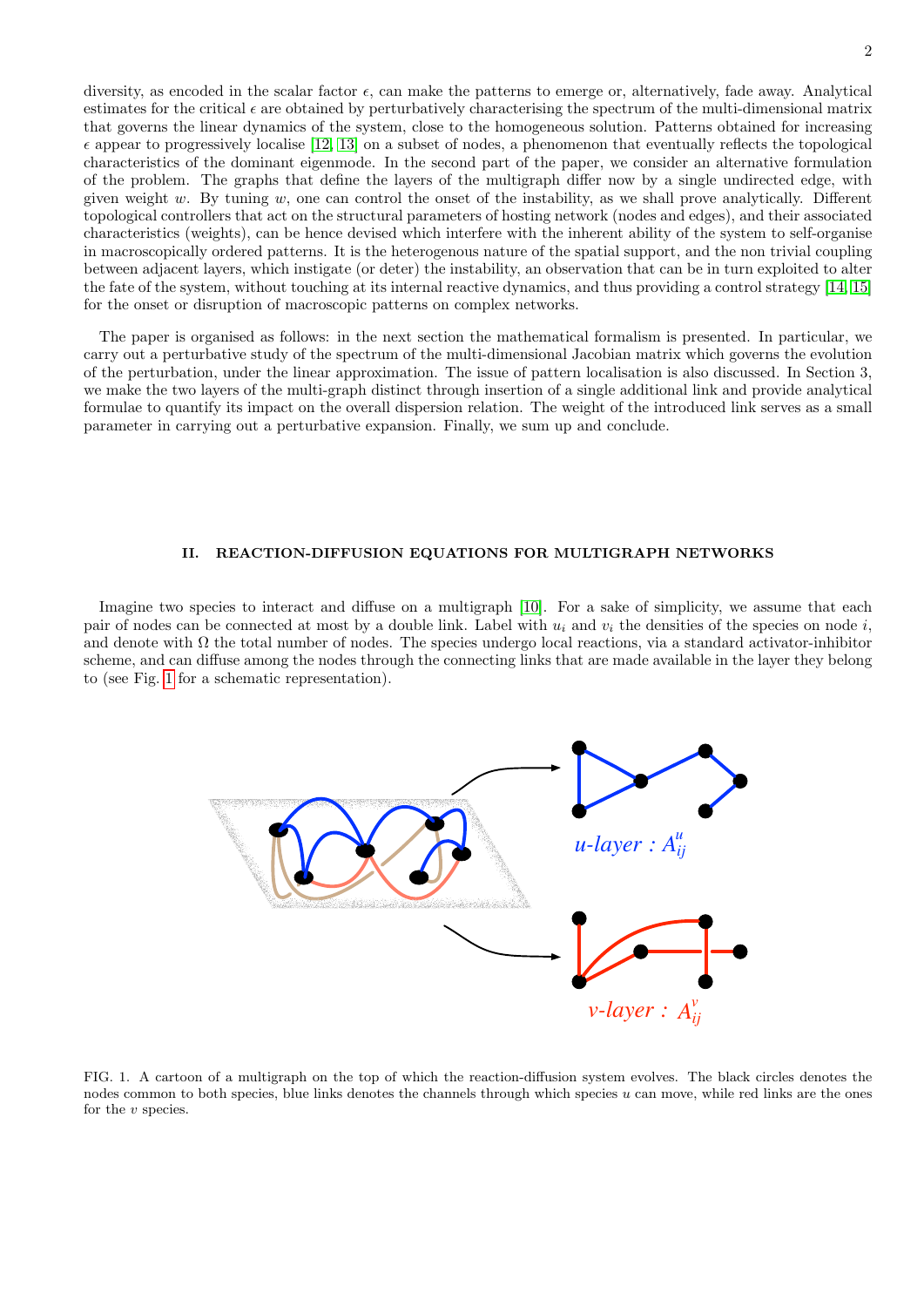diversity, as encoded in the scalar factor  $\epsilon$ , can make the patterns to emerge or, alternatively, fade away. Analytical estimates for the critical  $\epsilon$  are obtained by perturbatively characterising the spectrum of the multi-dimensional matrix that governs the linear dynamics of the system, close to the homogeneous solution. Patterns obtained for increasing  $\epsilon$  appear to progressively localise [\[12,](#page-10-11) [13\]](#page-10-12) on a subset of nodes, a phenomenon that eventually reflects the topological characteristics of the dominant eigenmode. In the second part of the paper, we consider an alternative formulation of the problem. The graphs that define the layers of the multigraph differ now by a single undirected edge, with given weight w. By tuning w, one can control the onset of the instability, as we shall prove analytically. Different topological controllers that act on the structural parameters of hosting network (nodes and edges), and their associated characteristics (weights), can be hence devised which interfere with the inherent ability of the system to self-organise in macroscopically ordered patterns. It is the heterogenous nature of the spatial support, and the non trivial coupling between adjacent layers, which instigate (or deter) the instability, an observation that can be in turn exploited to alter the fate of the system, without touching at its internal reactive dynamics, and thus providing a control strategy [\[14,](#page-10-13) [15\]](#page-10-14) for the onset or disruption of macroscopic patterns on complex networks.

The paper is organised as follows: in the next section the mathematical formalism is presented. In particular, we carry out a perturbative study of the spectrum of the multi-dimensional Jacobian matrix which governs the evolution of the perturbation, under the linear approximation. The issue of pattern localisation is also discussed. In Section 3, we make the two layers of the multi-graph distinct through insertion of a single additional link and provide analytical formulae to quantify its impact on the overall dispersion relation. The weight of the introduced link serves as a small parameter in carrying out a perturbative expansion. Finally, we sum up and conclude.

# II. REACTION-DIFFUSION EQUATIONS FOR MULTIGRAPH NETWORKS

Imagine two species to interact and diffuse on a multigraph [\[10\]](#page-10-9). For a sake of simplicity, we assume that each pair of nodes can be connected at most by a double link. Label with  $u_i$  and  $v_i$  the densities of the species on node i, and denote with  $\Omega$  the total number of nodes. The species undergo local reactions, via a standard activator-inhibitor scheme, and can diffuse among the nodes through the connecting links that are made available in the layer they belong to (see Fig. [1](#page-1-0) for a schematic representation).



<span id="page-1-0"></span>FIG. 1. A cartoon of a multigraph on the top of which the reaction-diffusion system evolves. The black circles denotes the nodes common to both species, blue links denotes the channels through which species u can move, while red links are the ones for the  $v$  species.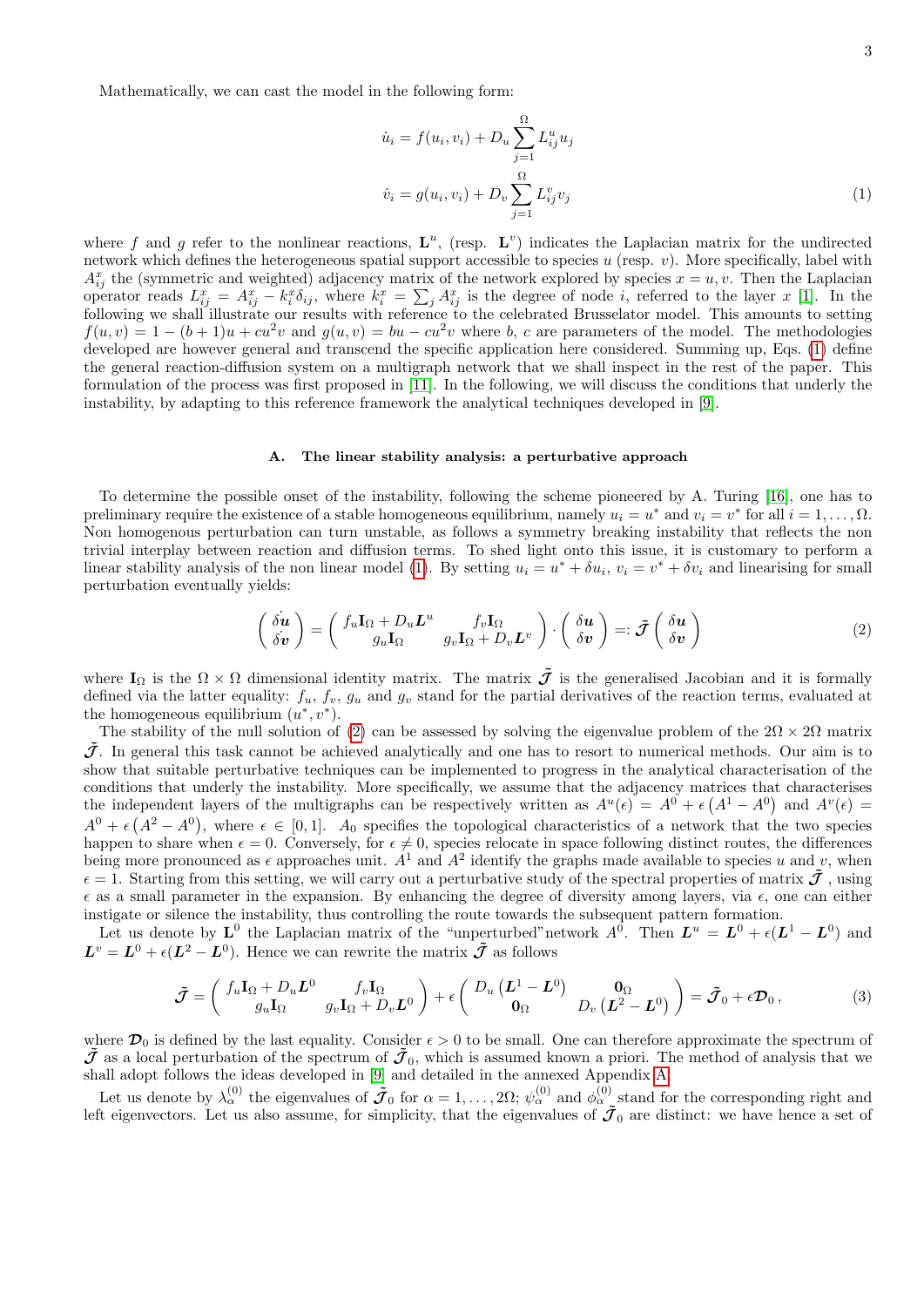Mathematically, we can cast the model in the following form:

<span id="page-2-0"></span>
$$
\dot{u}_i = f(u_i, v_i) + D_u \sum_{j=1}^{\Omega} L_{ij}^u u_j
$$
  

$$
\dot{v}_i = g(u_i, v_i) + D_v \sum_{j=1}^{\Omega} L_{ij}^v v_j
$$
 (1)

where f and g refer to the nonlinear reactions,  $\mathbf{L}^u$ , (resp.  $\mathbf{L}^v$ ) indicates the Laplacian matrix for the undirected network which defines the heterogeneous spatial support accessible to species  $u$  (resp.  $v$ ). More specifically, label with  $A_{ij}^x$  the (symmetric and weighted) adjacency matrix of the network explored by species  $x = u, v$ . Then the Laplacian operator reads  $L_{ij}^x = A_{ij}^x - k_i^x \delta_{ij}$ , where  $k_i^x = \sum_j A_{ij}^x$  is the degree of node *i*, referred to the layer x [\[1\]](#page-10-0). In the following we shall illustrate our results with reference to the celebrated Brusselator model. This amounts to setting  $f(u, v) = 1 - (b + 1)u + cu^2v$  and  $g(u, v) = bu - cu^2v$  where b, c are parameters of the model. The methodologies developed are however general and transcend the specific application here considered. Summing up, Eqs. [\(1\)](#page-2-0) define the general reaction-diffusion system on a multigraph network that we shall inspect in the rest of the paper. This formulation of the process was first proposed in [\[11\]](#page-10-10). In the following, we will discuss the conditions that underly the instability, by adapting to this reference framework the analytical techniques developed in [\[9\]](#page-10-8).

# A. The linear stability analysis: a perturbative approach

To determine the possible onset of the instability, following the scheme pioneered by A. Turing [\[16\]](#page-10-15), one has to preliminary require the existence of a stable homogeneous equilibrium, namely  $u_i = u^*$  and  $v_i = v^*$  for all  $i = 1, \ldots, \Omega$ . Non homogenous perturbation can turn unstable, as follows a symmetry breaking instability that reflects the non trivial interplay between reaction and diffusion terms. To shed light onto this issue, it is customary to perform a linear stability analysis of the non linear model [\(1\)](#page-2-0). By setting  $u_i = u^* + \delta u_i$ ,  $v_i = v^* + \delta v_i$  and linearising for small perturbation eventually yields:

<span id="page-2-1"></span>
$$
\begin{pmatrix}\n\dot{\delta u} \\
\dot{\delta v}\n\end{pmatrix} = \begin{pmatrix}\nf_u \mathbf{I}_{\Omega} + D_u L^u & f_v \mathbf{I}_{\Omega} \\
g_u \mathbf{I}_{\Omega} & g_v \mathbf{I}_{\Omega} + D_v L^v\n\end{pmatrix} \cdot \begin{pmatrix}\n\delta u \\
\delta v\n\end{pmatrix} =: \tilde{\mathcal{J}} \begin{pmatrix}\n\delta u \\
\delta v\n\end{pmatrix}
$$
\n(2)

where  $I_{\Omega}$  is the  $\Omega \times \Omega$  dimensional identity matrix. The matrix  $\tilde{\mathcal{J}}$  is the generalised Jacobian and it is formally defined via the latter equality:  $f_u$ ,  $f_v$ ,  $g_u$  and  $g_v$  stand for the partial derivatives of the reaction terms, evaluated at the homogeneous equilibrium  $(u^*, v^*)$ .

The stability of the null solution of [\(2\)](#page-2-1) can be assessed by solving the eigenvalue problem of the  $2\Omega \times 2\Omega$  matrix  $\bar{J}$ . In general this task cannot be achieved analytically and one has to resort to numerical methods. Our aim is to show that suitable perturbative techniques can be implemented to progress in the analytical characterisation of the conditions that underly the instability. More specifically, we assume that the adjacency matrices that characterises the independent layers of the multigraphs can be respectively written as  $A^u(\epsilon) = A^0 + \epsilon (A^1 - A^0)$  and  $A^v(\epsilon) =$  $A^0 + \epsilon (A^2 - A^0)$ , where  $\epsilon \in [0,1]$ .  $A_0$  specifies the topological characteristics of a network that the two species happen to share when  $\epsilon = 0$ . Conversely, for  $\epsilon \neq 0$ , species relocate in space following distinct routes, the differences being more pronounced as  $\epsilon$  approaches unit.  $A^1$  and  $A^2$  identify the graphs made available to species u and v, when  $\epsilon = 1$ . Starting from this setting, we will carry out a perturbative study of the spectral properties of matrix  $\tilde{J}$ , using  $\epsilon$  as a small parameter in the expansion. By enhancing the degree of diversity among layers, via  $\epsilon$ , one can either instigate or silence the instability, thus controlling the route towards the subsequent pattern formation.

Let us denote by  $L^0$  the Laplacian matrix of the "unperturbed" network  $A^0$ . Then  $L^u = L^0 + \epsilon(L^1 - L^0)$  and  $\mathbf{L}^v = \mathbf{L}^0 + \epsilon(\mathbf{L}^2 - \mathbf{L}^0)$ . Hence we can rewrite the matrix  $\tilde{\mathcal{J}}$  as follows

<span id="page-2-2"></span>
$$
\tilde{\mathcal{J}} = \begin{pmatrix} f_u \mathbf{I}_{\Omega} + D_u \mathbf{L}^0 & f_v \mathbf{I}_{\Omega} \\ g_u \mathbf{I}_{\Omega} & g_v \mathbf{I}_{\Omega} + D_v \mathbf{L}^0 \end{pmatrix} + \epsilon \begin{pmatrix} D_u \left( \mathbf{L}^1 - \mathbf{L}^0 \right) & \mathbf{0}_{\Omega} \\ \mathbf{0}_{\Omega} & D_v \left( \mathbf{L}^2 - \mathbf{L}^0 \right) \end{pmatrix} = \tilde{\mathcal{J}}_0 + \epsilon \mathcal{D}_0 , \tag{3}
$$

where  $\mathcal{D}_0$  is defined by the last equality. Consider  $\epsilon > 0$  to be small. One can therefore approximate the spectrum of  $\tilde{J}$  as a local perturbation of the spectrum of  $\tilde{J}_0$ , which is assumed known a priori. The method of analysis that we shall adopt follows the ideas developed in [\[9\]](#page-10-8) and detailed in the annexed Appendix [A.](#page-8-0)

Let us denote by  $\lambda_\alpha^{(0)}$  the eigenvalues of  $\tilde{J}_0$  for  $\alpha = 1, \ldots, 2\Omega; \, \psi_\alpha^{(0)}$  and  $\phi_\alpha^{(0)}$  stand for the corresponding right and left eigenvectors. Let us also assume, for simplicity, that the eigenvalues of  $\tilde{J}_0$  are distinct: we have hence a set of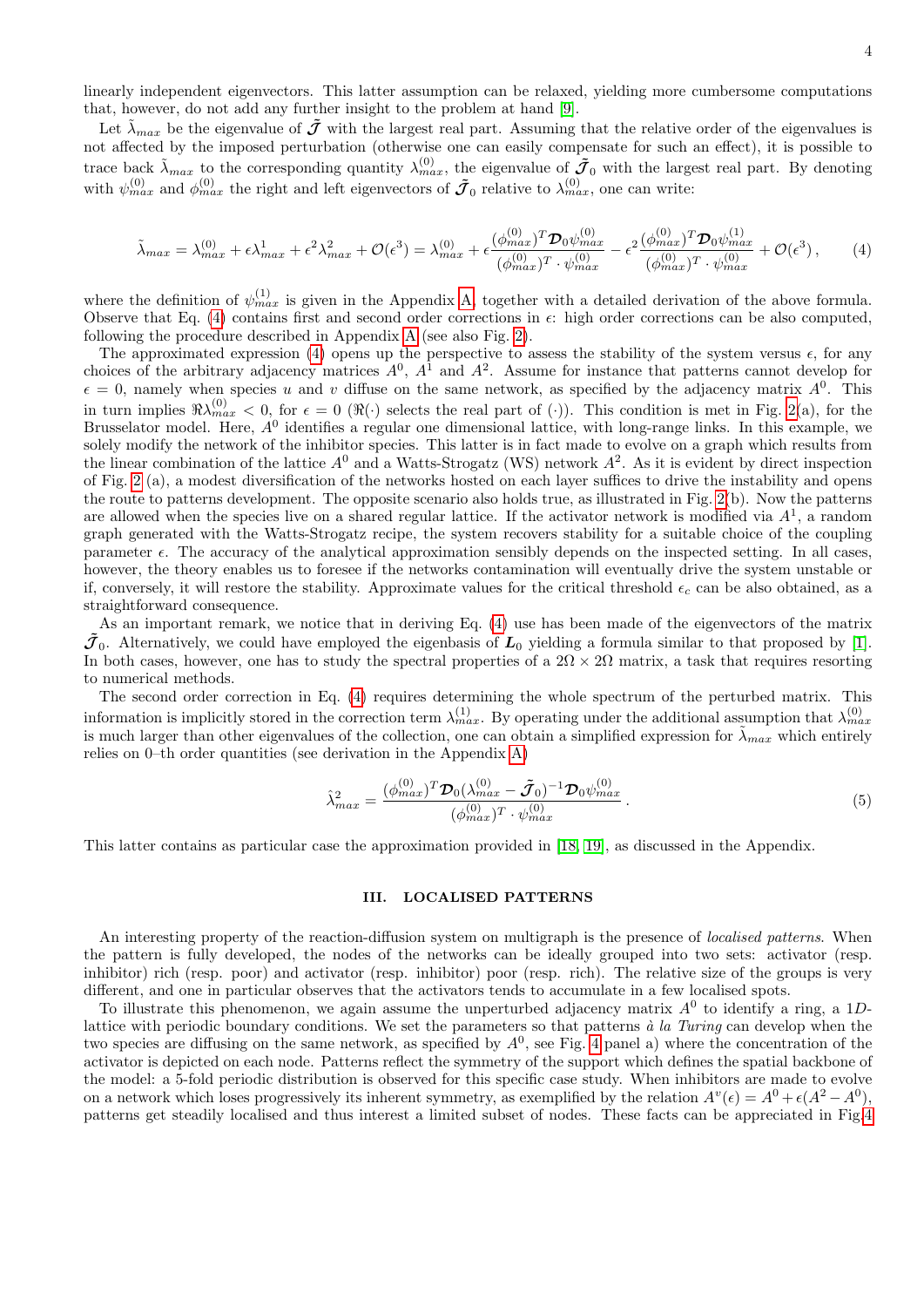linearly independent eigenvectors. This latter assumption can be relaxed, yielding more cumbersome computations that, however, do not add any further insight to the problem at hand [\[9\]](#page-10-8).

Let  $\tilde{\lambda}_{max}$  be the eigenvalue of  $\tilde{\mathcal{J}}$  with the largest real part. Assuming that the relative order of the eigenvalues is not affected by the imposed perturbation (otherwise one can easily compensate for such an effect), it is possible to trace back  $\tilde{\lambda}_{max}$  to the corresponding quantity  $\lambda_{max}^{(0)}$ , the eigenvalue of  $\tilde{J}_0$  with the largest real part. By denoting with  $\psi_{max}^{(0)}$  and  $\phi_{max}^{(0)}$  the right and left eigenvectors of  $\tilde{J}_0$  relative to  $\lambda_{max}^{(0)}$ , one can write:

<span id="page-3-0"></span>
$$
\tilde{\lambda}_{max} = \lambda_{max}^{(0)} + \epsilon \lambda_{max}^1 + \epsilon^2 \lambda_{max}^2 + \mathcal{O}(\epsilon^3) = \lambda_{max}^{(0)} + \epsilon \frac{(\phi_{max}^{(0)})^T \mathcal{D}_0 \psi_{max}^{(0)}}{(\phi_{max}^{(0)})^T \cdot \psi_{max}^{(0)}} - \epsilon^2 \frac{(\phi_{max}^{(0)})^T \mathcal{D}_0 \psi_{max}^{(1)}}{(\phi_{max}^{(0)})^T \cdot \psi_{max}^{(0)}} + \mathcal{O}(\epsilon^3),\tag{4}
$$

where the definition of  $\psi_{max}^{(1)}$  is given in the Appendix [A,](#page-8-0) together with a detailed derivation of the above formula. Observe that Eq.  $(4)$  contains first and second order corrections in  $\epsilon$ : high order corrections can be also computed, following the procedure described in Appendix [A](#page-8-0) (see also Fig. [2\)](#page-4-0).

The approximated expression [\(4\)](#page-3-0) opens up the perspective to assess the stability of the system versus  $\epsilon$ , for any choices of the arbitrary adjacency matrices  $A^0$ ,  $A^1$  and  $A^2$ . Assume for instance that patterns cannot develop for  $\epsilon = 0$ , namely when species u and v diffuse on the same network, as specified by the adjacency matrix  $A^0$ . This in turn implies  $\Re\lambda_{max}^{(0)} < 0$ , for  $\epsilon = 0$  ( $\Re(\cdot)$  selects the real part of (·)). This condition is met in Fig. [2\(](#page-4-0)a), for the Brusselator model. Here,  $A^0$  identifies a regular one dimensional lattice, with long-range links. In this example, we solely modify the network of the inhibitor species. This latter is in fact made to evolve on a graph which results from the linear combination of the lattice  $A^0$  and a Watts-Strogatz (WS) network  $A^2$ . As it is evident by direct inspection of Fig. [2](#page-4-0) (a), a modest diversification of the networks hosted on each layer suffices to drive the instability and opens the route to patterns development. The opposite scenario also holds true, as illustrated in Fig. [2\(](#page-4-0)b). Now the patterns are allowed when the species live on a shared regular lattice. If the activator network is modified via  $A<sup>1</sup>$ , a random graph generated with the Watts-Strogatz recipe, the system recovers stability for a suitable choice of the coupling parameter  $\epsilon$ . The accuracy of the analytical approximation sensibly depends on the inspected setting. In all cases, however, the theory enables us to foresee if the networks contamination will eventually drive the system unstable or if, conversely, it will restore the stability. Approximate values for the critical threshold  $\epsilon_c$  can be also obtained, as a straightforward consequence.

As an important remark, we notice that in deriving Eq. [\(4\)](#page-3-0) use has been made of the eigenvectors of the matrix  $\tilde{\mathcal{J}}_0$ . Alternatively, we could have employed the eigenbasis of  $\mathcal{L}_0$  yielding a formula similar to that proposed by [\[1\]](#page-10-0). In both cases, however, one has to study the spectral properties of a  $2\Omega \times 2\Omega$  matrix, a task that requires resorting to numerical methods.

The second order correction in Eq. [\(4\)](#page-3-0) requires determining the whole spectrum of the perturbed matrix. This information is implicitly stored in the correction term  $\lambda_{max}^{(1)}$ . By operating under the additional assumption that  $\lambda_{max}^{(0)}$ is much larger than other eigenvalues of the collection, one can obtain a simplified expression for  $\tilde{\lambda}_{max}$  which entirely relies on 0–th order quantities (see derivation in the Appendix [A\)](#page-8-0)

$$
\hat{\lambda}_{max}^2 = \frac{(\phi_{max}^{(0)})^T \mathcal{D}_0 (\lambda_{max}^{(0)} - \tilde{\mathcal{J}}_0)^{-1} \mathcal{D}_0 \psi_{max}^{(0)}}{(\phi_{max}^{(0)})^T \cdot \psi_{max}^{(0)}}
$$
\n(5)

This latter contains as particular case the approximation provided in [\[18,](#page-10-16) [19\]](#page-10-17), as discussed in the Appendix.

### III. LOCALISED PATTERNS

An interesting property of the reaction-diffusion system on multigraph is the presence of *localised patterns*. When the pattern is fully developed, the nodes of the networks can be ideally grouped into two sets: activator (resp. inhibitor) rich (resp. poor) and activator (resp. inhibitor) poor (resp. rich). The relative size of the groups is very different, and one in particular observes that the activators tends to accumulate in a few localised spots.

To illustrate this phenomenon, we again assume the unperturbed adjacency matrix  $A^0$  to identify a ring, a 1Dlattice with periodic boundary conditions. We set the parameters so that patterns  $\dot{a}$  la Turing can develop when the two species are diffusing on the same network, as specified by  $A^0$ , see Fig. [4](#page-6-0) panel a) where the concentration of the activator is depicted on each node. Patterns reflect the symmetry of the support which defines the spatial backbone of the model: a 5-fold periodic distribution is observed for this specific case study. When inhibitors are made to evolve on a network which loses progressively its inherent symmetry, as exemplified by the relation  $A^v(\epsilon) = A^0 + \epsilon (A^2 - A^0)$ , patterns get steadily localised and thus interest a limited subset of nodes. These facts can be appreciated in Fig[.4](#page-6-0)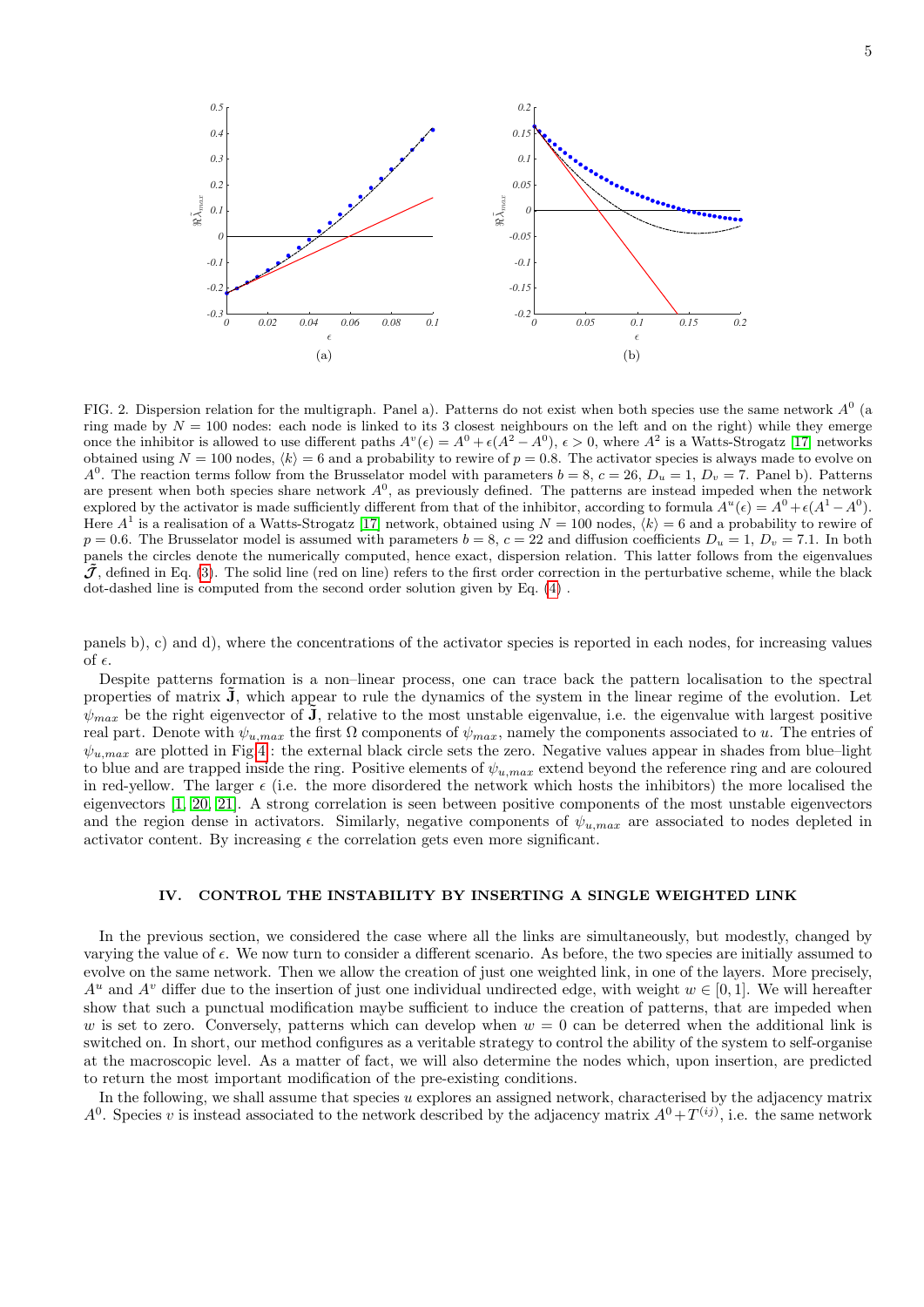

<span id="page-4-0"></span>FIG. 2. Dispersion relation for the multigraph. Panel a). Patterns do not exist when both species use the same network  $A^0$  (a ring made by  $N = 100$  nodes: each node is linked to its 3 closest neighbours on the left and on the right) while they emerge once the inhibitor is allowed to use different paths  $A^v(\epsilon) = A^0 + \epsilon (A^2 - A^0)$ ,  $\epsilon > 0$ , where  $A^2$  is a Watts-Strogatz [\[17\]](#page-10-18) networks obtained using  $N = 100$  nodes,  $\langle k \rangle = 6$  and a probability to rewire of  $p = 0.8$ . The activator species is always made to evolve on  $A^0$ . The reaction terms follow from the Brusselator model with parameters  $b = 8$ ,  $c = 26$ ,  $D_u = 1$ ,  $D_v = 7$ . Panel b). Patterns are present when both species share network  $A^0$ , as previously defined. The patterns are instead impeded when the network explored by the activator is made sufficiently different from that of the inhibitor, according to formula  $A^u(\epsilon) = A^0 + \epsilon (A^1 - A^0)$ . Here  $A^1$  is a realisation of a Watts-Strogatz [\[17\]](#page-10-18) network, obtained using  $N = 100$  nodes,  $\langle k \rangle = 6$  and a probability to rewire of  $p = 0.6$ . The Brusselator model is assumed with parameters  $b = 8$ ,  $c = 22$  and diffusion coefficients  $D_u = 1$ ,  $D_v = 7.1$ . In both panels the circles denote the numerically computed, hence exact, dispersion relation. This latter follows from the eigenvalues  $J$ , defined in Eq. [\(3\)](#page-2-2). The solid line (red on line) refers to the first order correction in the perturbative scheme, while the black dot-dashed line is computed from the second order solution given by Eq. [\(4\)](#page-3-0) .

panels b), c) and d), where the concentrations of the activator species is reported in each nodes, for increasing values of  $\epsilon$ .

Despite patterns formation is a non–linear process, one can trace back the pattern localisation to the spectral properties of matrix **J**, which appear to rule the dynamics of the system in the linear regime of the evolution. Let  $\psi_{max}$  be the right eigenvector of  $\tilde{J}$ , relative to the most unstable eigenvalue, i.e. the eigenvalue with largest positive real part. Denote with  $\psi_{u,max}$  the first  $\Omega$  components of  $\psi_{max}$ , namely the components associated to u. The entries of  $\psi_{u,max}$  are plotted in Fig[.4](#page-6-0) : the external black circle sets the zero. Negative values appear in shades from blue–light to blue and are trapped inside the ring. Positive elements of  $\psi_{u,max}$  extend beyond the reference ring and are coloured in red-yellow. The larger  $\epsilon$  (i.e. the more disordered the network which hosts the inhibitors) the more localised the eigenvectors [\[1,](#page-10-0) [20,](#page-10-19) [21\]](#page-10-20). A strong correlation is seen between positive components of the most unstable eigenvectors and the region dense in activators. Similarly, negative components of  $\psi_{u,max}$  are associated to nodes depleted in activator content. By increasing  $\epsilon$  the correlation gets even more significant.

## IV. CONTROL THE INSTABILITY BY INSERTING A SINGLE WEIGHTED LINK

In the previous section, we considered the case where all the links are simultaneously, but modestly, changed by varying the value of  $\epsilon$ . We now turn to consider a different scenario. As before, the two species are initially assumed to evolve on the same network. Then we allow the creation of just one weighted link, in one of the layers. More precisely,  $A^u$  and  $A^v$  differ due to the insertion of just one individual undirected edge, with weight  $w \in [0,1]$ . We will hereafter show that such a punctual modification maybe sufficient to induce the creation of patterns, that are impeded when w is set to zero. Conversely, patterns which can develop when  $w = 0$  can be deterred when the additional link is switched on. In short, our method configures as a veritable strategy to control the ability of the system to self-organise at the macroscopic level. As a matter of fact, we will also determine the nodes which, upon insertion, are predicted to return the most important modification of the pre-existing conditions.

In the following, we shall assume that species u explores an assigned network, characterised by the adjacency matrix  $A^0$ . Species v is instead associated to the network described by the adjacency matrix  $A^0 + T^{(ij)}$ , i.e. the same network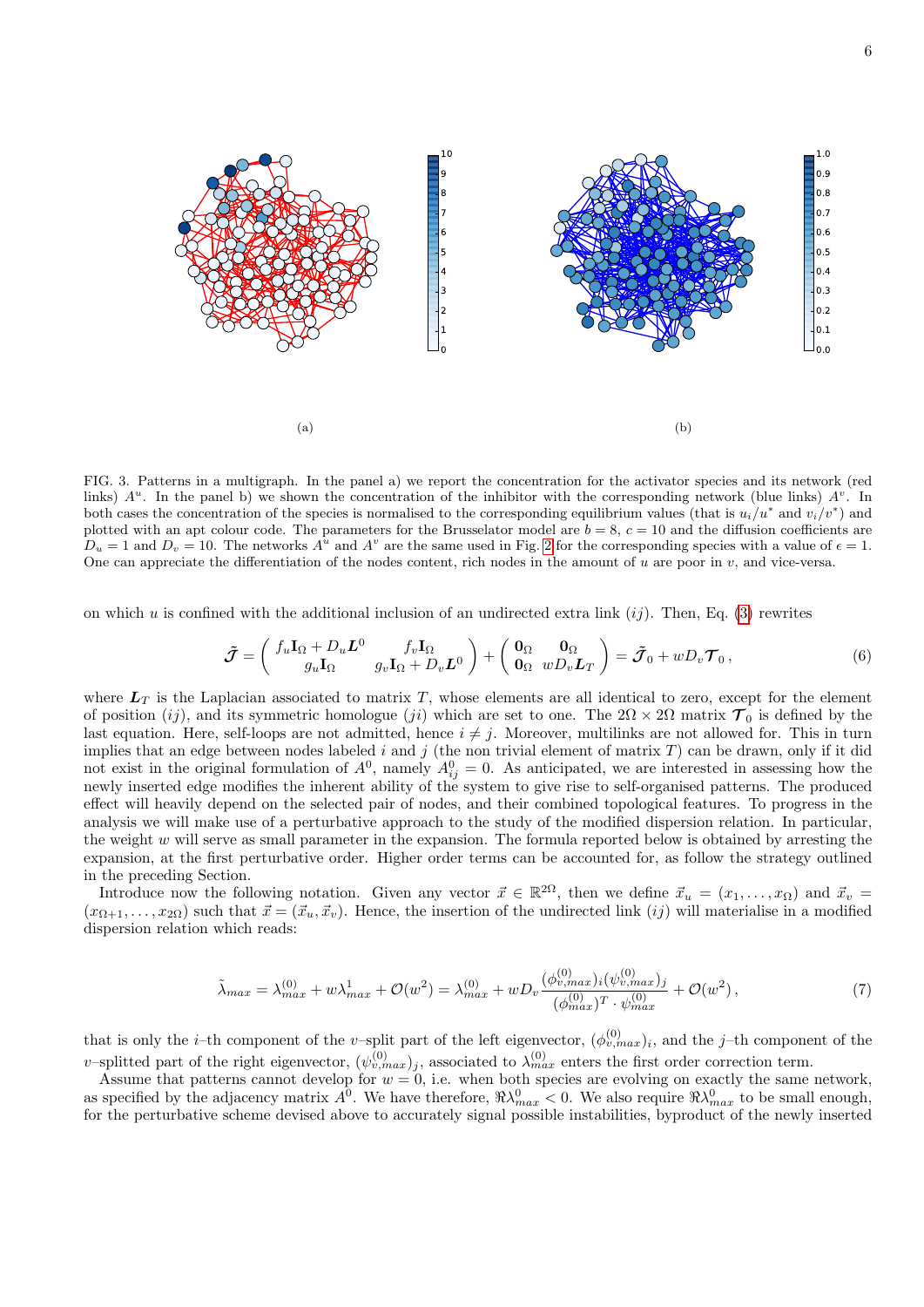

FIG. 3. Patterns in a multigraph. In the panel a) we report the concentration for the activator species and its network (red links)  $A^u$ . In the panel b) we shown the concentration of the inhibitor with the corresponding network (blue links)  $A^v$ . In both cases the concentration of the species is normalised to the corresponding equilibrium values (that is  $u_i/u^*$  and  $v_i/v^*$ ) and plotted with an apt colour code. The parameters for the Brusselator model are  $b = 8$ ,  $c = 10$  and the diffusion coefficients are  $D_u = 1$  and  $D_v = 10$ . The networks  $A^u$  and  $A^v$  are the same used in Fig. [2](#page-4-0) for the corresponding species with a value of  $\epsilon = 1$ . One can appreciate the differentiation of the nodes content, rich nodes in the amount of u are poor in  $v$ , and vice-versa.

on which u is confined with the additional inclusion of an undirected extra link  $(ij)$ . Then, Eq. [\(3\)](#page-2-2) rewrites

$$
\tilde{\mathcal{J}} = \begin{pmatrix} f_u \mathbf{I}_{\Omega} + D_u \mathbf{L}^0 & f_v \mathbf{I}_{\Omega} \\ g_u \mathbf{I}_{\Omega} & g_v \mathbf{I}_{\Omega} + D_v \mathbf{L}^0 \end{pmatrix} + \begin{pmatrix} \mathbf{0}_{\Omega} & \mathbf{0}_{\Omega} \\ \mathbf{0}_{\Omega} & w D_v \mathbf{L}_T \end{pmatrix} = \tilde{\mathcal{J}}_0 + w D_v \mathcal{T}_0 ,
$$
\n(6)

where  $L_T$  is the Laplacian associated to matrix T, whose elements are all identical to zero, except for the element of position (ij), and its symmetric homologue (ji) which are set to one. The  $2\Omega \times 2\Omega$  matrix  $\mathcal{T}_0$  is defined by the last equation. Here, self-loops are not admitted, hence  $i \neq j$ . Moreover, multilinks are not allowed for. This in turn implies that an edge between nodes labeled i and j (the non trivial element of matrix  $T$ ) can be drawn, only if it did not exist in the original formulation of  $A^0$ , namely  $A_{ij}^0 = 0$ . As anticipated, we are interested in assessing how the newly inserted edge modifies the inherent ability of the system to give rise to self-organised patterns. The produced effect will heavily depend on the selected pair of nodes, and their combined topological features. To progress in the analysis we will make use of a perturbative approach to the study of the modified dispersion relation. In particular, the weight w will serve as small parameter in the expansion. The formula reported below is obtained by arresting the expansion, at the first perturbative order. Higher order terms can be accounted for, as follow the strategy outlined in the preceding Section.

Introduce now the following notation. Given any vector  $\vec{x} \in \mathbb{R}^{2\Omega}$ , then we define  $\vec{x}_u = (x_1, \ldots, x_\Omega)$  and  $\vec{x}_v =$  $(x_{\Omega+1},\ldots,x_{2\Omega})$  such that  $\vec{x} = (\vec{x}_u, \vec{x}_v)$ . Hence, the insertion of the undirected link  $(ij)$  will materialise in a modified dispersion relation which reads:

<span id="page-5-0"></span>
$$
\tilde{\lambda}_{max} = \lambda_{max}^{(0)} + w\lambda_{max}^1 + \mathcal{O}(w^2) = \lambda_{max}^{(0)} + wD_v \frac{(\phi_{v,max}^{(0)})_i(\psi_{v,max}^{(0)})_j}{(\phi_{max}^{(0)})^T \cdot \psi_{max}^{(0)}} + \mathcal{O}(w^2) \,,\tag{7}
$$

that is only the *i*-th component of the *v*-split part of the left eigenvector,  $(\phi_{v,max}^{(0)})_i$ , and the *j*-th component of the v-splitted part of the right eigenvector,  $(\psi_{v,max}^{(0)})_j$ , associated to  $\lambda_{max}^{(0)}$  enters the first order correction term.

Assume that patterns cannot develop for  $w = 0$ , i.e. when both species are evolving on exactly the same network, as specified by the adjacency matrix  $A^0$ . We have therefore,  $\Re\lambda_{max}^0 < 0$ . We also require  $\Re\lambda_{max}^0$  to be small enough, for the perturbative scheme devised above to accurately signal possible instabilities, byproduct of the newly inserted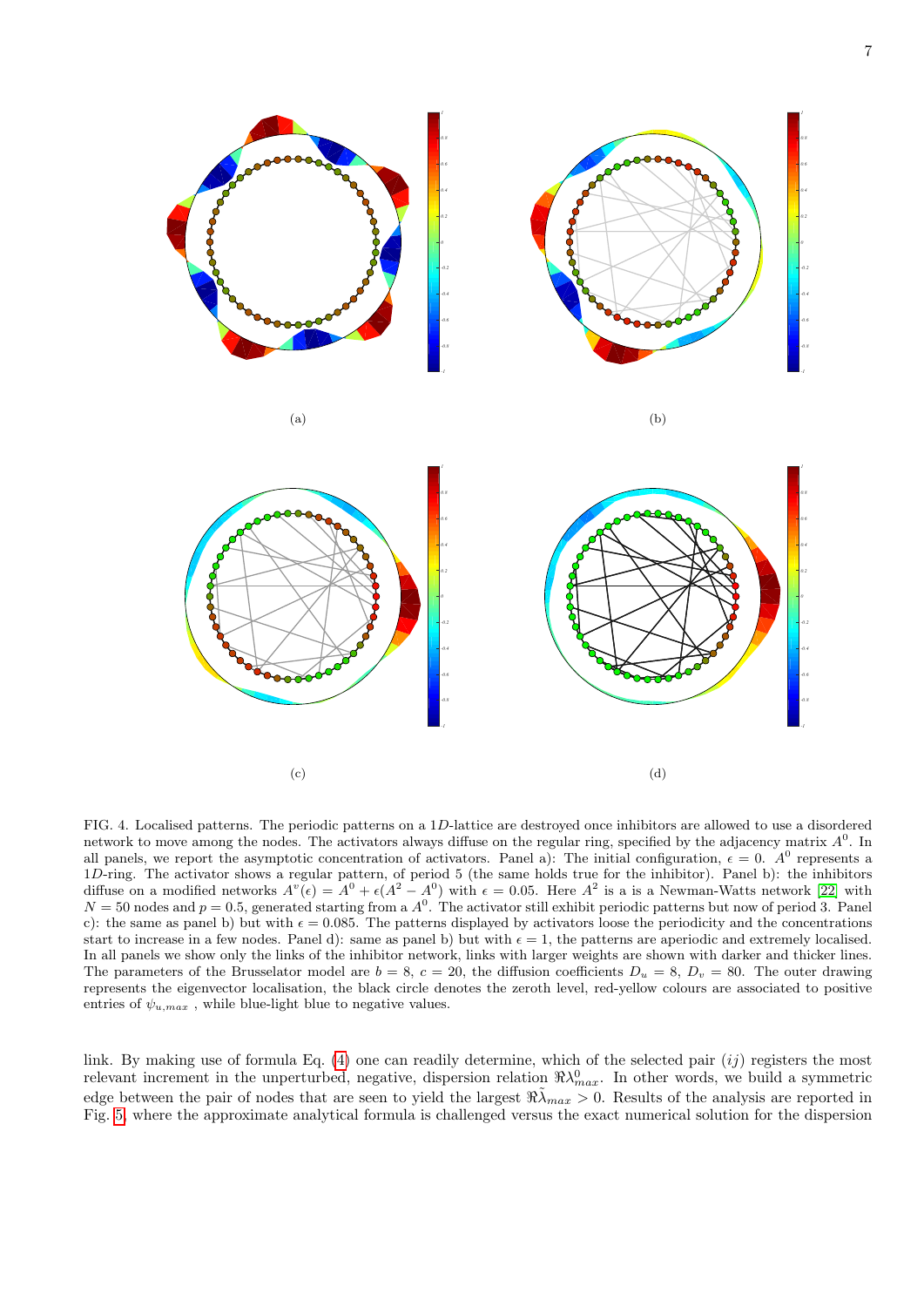

<span id="page-6-0"></span>FIG. 4. Localised patterns. The periodic patterns on a 1D-lattice are destroyed once inhibitors are allowed to use a disordered network to move among the nodes. The activators always diffuse on the regular ring, specified by the adjacency matrix  $A<sup>0</sup>$ . In all panels, we report the asymptotic concentration of activators. Panel a): The initial configuration,  $\epsilon = 0$ . A<sup>0</sup> represents a 1D-ring. The activator shows a regular pattern, of period 5 (the same holds true for the inhibitor). Panel b): the inhibitors diffuse on a modified networks  $A^v(\epsilon) = A^0 + \epsilon(A^2 - A^0)$  with  $\epsilon = 0.05$ . Here  $A^2$  is a is a Newman-Watts network [\[22\]](#page-10-21) with  $N = 50$  nodes and  $p = 0.5$ , generated starting from a  $A<sup>0</sup>$ . The activator still exhibit periodic patterns but now of period 3. Panel c): the same as panel b) but with  $\epsilon = 0.085$ . The patterns displayed by activators loose the periodicity and the concentrations start to increase in a few nodes. Panel d): same as panel b) but with  $\epsilon = 1$ , the patterns are aperiodic and extremely localised. In all panels we show only the links of the inhibitor network, links with larger weights are shown with darker and thicker lines. The parameters of the Brusselator model are  $b = 8$ ,  $c = 20$ , the diffusion coefficients  $D_u = 8$ ,  $D_v = 80$ . The outer drawing represents the eigenvector localisation, the black circle denotes the zeroth level, red-yellow colours are associated to positive entries of  $\psi_{u,max}$ , while blue-light blue to negative values.

link. By making use of formula Eq.  $(4)$  one can readily determine, which of the selected pair  $(ij)$  registers the most relevant increment in the unperturbed, negative, dispersion relation  $\Re\lambda_{max}^0$ . In other words, we build a symmetric edge between the pair of nodes that are seen to yield the largest  $\Re\tilde{\lambda}_{max} > 0$ . Results of the analysis are reported in Fig. [5,](#page-7-0) where the approximate analytical formula is challenged versus the exact numerical solution for the dispersion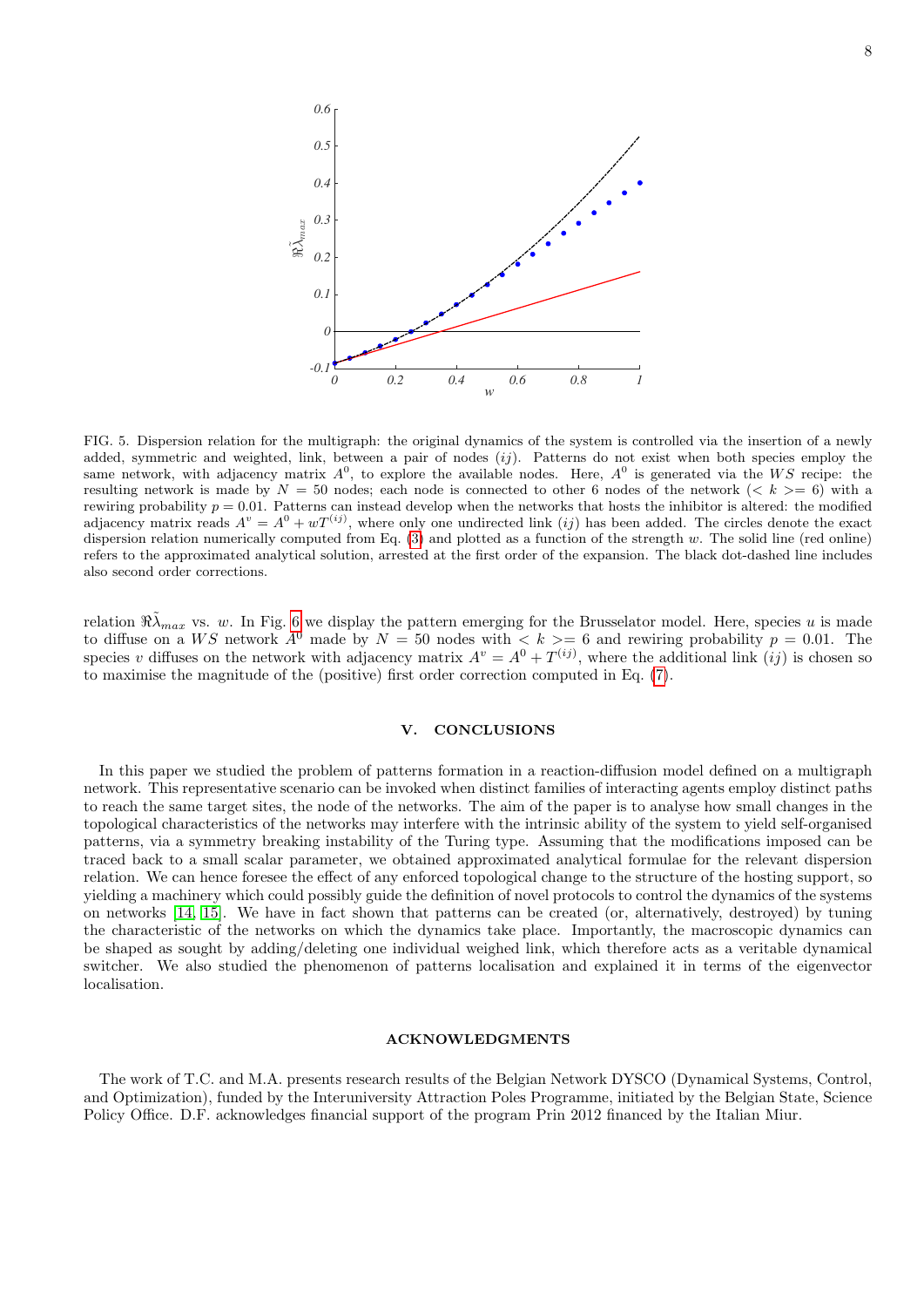

<span id="page-7-0"></span>FIG. 5. Dispersion relation for the multigraph: the original dynamics of the system is controlled via the insertion of a newly added, symmetric and weighted, link, between a pair of nodes  $(ij)$ . Patterns do not exist when both species employ the same network, with adjacency matrix  $A^0$ , to explore the available nodes. Here,  $A^0$  is generated via the WS recipe: the resulting network is made by  $N = 50$  nodes; each node is connected to other 6 nodes of the network ( $\lt k \gt 6$ ) with a rewiring probability  $p = 0.01$ . Patterns can instead develop when the networks that hosts the inhibitor is altered: the modified adjacency matrix reads  $A^v = A^0 + wT^{(ij)}$ , where only one undirected link (ij) has been added. The circles denote the exact dispersion relation numerically computed from Eq. [\(3\)](#page-2-2) and plotted as a function of the strength w. The solid line (red online) refers to the approximated analytical solution, arrested at the first order of the expansion. The black dot-dashed line includes also second order corrections.

relation  $\Re\tilde{\lambda}_{max}$  vs. w. In Fig. [6](#page-8-1) we display the pattern emerging for the Brusselator model. Here, species u is made to diffuse on a WS network  $A^0$  made by  $N = 50$  nodes with  $\lt k \gt 6$  and rewiring probability  $p = 0.01$ . The species v diffuses on the network with adjacency matrix  $A^v = A^0 + T^{(ij)}$ , where the additional link  $(ij)$  is chosen so to maximise the magnitude of the (positive) first order correction computed in Eq. [\(7\)](#page-5-0).

### V. CONCLUSIONS

In this paper we studied the problem of patterns formation in a reaction-diffusion model defined on a multigraph network. This representative scenario can be invoked when distinct families of interacting agents employ distinct paths to reach the same target sites, the node of the networks. The aim of the paper is to analyse how small changes in the topological characteristics of the networks may interfere with the intrinsic ability of the system to yield self-organised patterns, via a symmetry breaking instability of the Turing type. Assuming that the modifications imposed can be traced back to a small scalar parameter, we obtained approximated analytical formulae for the relevant dispersion relation. We can hence foresee the effect of any enforced topological change to the structure of the hosting support, so yielding a machinery which could possibly guide the definition of novel protocols to control the dynamics of the systems on networks [\[14,](#page-10-13) [15\]](#page-10-14). We have in fact shown that patterns can be created (or, alternatively, destroyed) by tuning the characteristic of the networks on which the dynamics take place. Importantly, the macroscopic dynamics can be shaped as sought by adding/deleting one individual weighed link, which therefore acts as a veritable dynamical switcher. We also studied the phenomenon of patterns localisation and explained it in terms of the eigenvector localisation.

### ACKNOWLEDGMENTS

The work of T.C. and M.A. presents research results of the Belgian Network DYSCO (Dynamical Systems, Control, and Optimization), funded by the Interuniversity Attraction Poles Programme, initiated by the Belgian State, Science Policy Office. D.F. acknowledges financial support of the program Prin 2012 financed by the Italian Miur.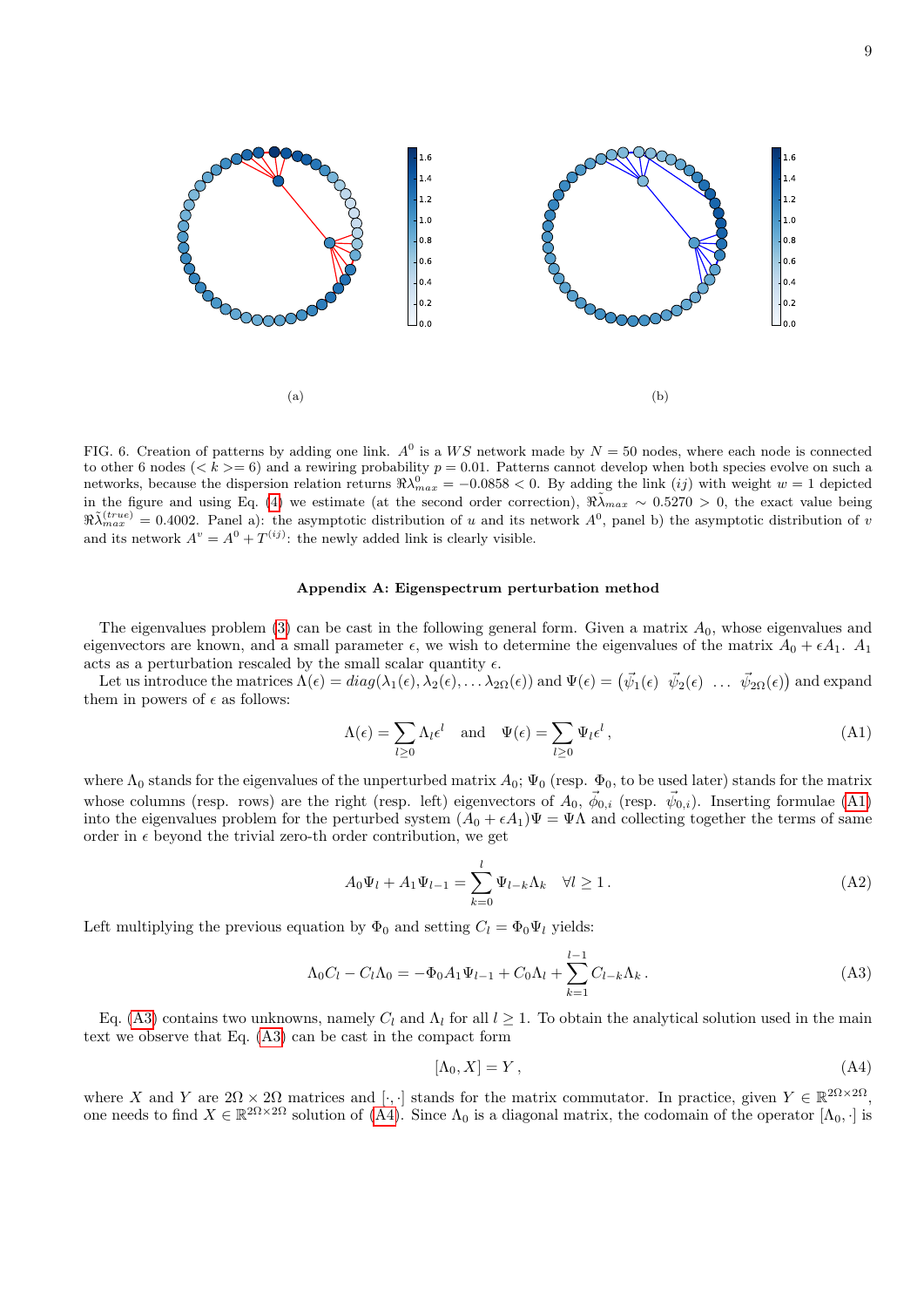

<span id="page-8-1"></span>FIG. 6. Creation of patterns by adding one link.  $A^0$  is a WS network made by  $N = 50$  nodes, where each node is connected to other 6 nodes ( $\langle k \rangle = 6$ ) and a rewiring probability  $p = 0.01$ . Patterns cannot develop when both species evolve on such a networks, because the dispersion relation returns  $\Re\lambda_{max}^0 = -0.0858 < 0$ . By adding the link (*ij*) with weight  $w = 1$  depicted in the figure and using Eq. [\(4\)](#page-3-0) we estimate (at the second order correction),  $\Re\tilde{\lambda}_{max} \sim 0.5270 > 0$ , the exact value being  $\Re\tilde{\lambda}_{max}^{(true)} = 0.4002$ . Panel a): the asymptotic distribution of u and its network  $A^0$ , panel b) the asymptotic distribution of u and its network  $A^v = A^0 + T^{(ij)}$ : the newly added link is clearly visible.

# <span id="page-8-0"></span>Appendix A: Eigenspectrum perturbation method

The eigenvalues problem [\(3\)](#page-2-2) can be cast in the following general form. Given a matrix  $A_0$ , whose eigenvalues and eigenvectors are known, and a small parameter  $\epsilon$ , we wish to determine the eigenvalues of the matrix  $A_0 + \epsilon A_1$ .  $A_1$ acts as a perturbation rescaled by the small scalar quantity  $\epsilon$ .

Let us introduce the matrices  $\Lambda(\epsilon)=diag(\lambda_1(\epsilon),\lambda_2(\epsilon),\ldots\lambda_{2\Omega}(\epsilon))$  and  $\Psi(\epsilon)=\begin{pmatrix} \vec{\psi}_1(\epsilon) & \vec{\psi}_2(\epsilon) & \ldots & \vec{\psi}_{2\Omega}(\epsilon) \end{pmatrix}$  and expand them in powers of  $\epsilon$  as follows:

<span id="page-8-2"></span>
$$
\Lambda(\epsilon) = \sum_{l \ge 0} \Lambda_l \epsilon^l \quad \text{and} \quad \Psi(\epsilon) = \sum_{l \ge 0} \Psi_l \epsilon^l \,, \tag{A1}
$$

where  $\Lambda_0$  stands for the eigenvalues of the unperturbed matrix  $A_0$ ;  $\Psi_0$  (resp.  $\Phi_0$ , to be used later) stands for the matrix whose columns (resp. rows) are the right (resp. left) eigenvectors of  $A_0$ ,  $\vec{\phi}_{0,i}$  (resp.  $\vec{\psi}_{0,i}$ ). Inserting formulae [\(A1\)](#page-8-2) into the eigenvalues problem for the perturbed system  $(A_0 + \epsilon A_1)\Psi = \Psi \Lambda$  and collecting together the terms of same order in  $\epsilon$  beyond the trivial zero-th order contribution, we get

$$
A_0\Psi_l + A_1\Psi_{l-1} = \sum_{k=0}^{l} \Psi_{l-k} \Lambda_k \quad \forall l \ge 1.
$$
 (A2)

Left multiplying the previous equation by  $\Phi_0$  and setting  $C_l = \Phi_0 \Psi_l$  yields:

<span id="page-8-3"></span>
$$
\Lambda_0 C_l - C_l \Lambda_0 = -\Phi_0 A_1 \Psi_{l-1} + C_0 \Lambda_l + \sum_{k=1}^{l-1} C_{l-k} \Lambda_k.
$$
\n(A3)

Eq. [\(A3\)](#page-8-3) contains two unknowns, namely  $C_l$  and  $\Lambda_l$  for all  $l \geq 1$ . To obtain the analytical solution used in the main text we observe that Eq. [\(A3\)](#page-8-3) can be cast in the compact form

<span id="page-8-4"></span>
$$
[\Lambda_0, X] = Y \,, \tag{A4}
$$

where X and Y are  $2\Omega \times 2\Omega$  matrices and [.,.] stands for the matrix commutator. In practice, given  $Y \in \mathbb{R}^{2\Omega \times 2\Omega}$ , one needs to find  $X \in \mathbb{R}^{2\Omega \times 2\Omega}$  solution of  $(A4)$ . Since  $\Lambda_0$  is a diagonal matrix, the codomain of the operator  $[\Lambda_0, \cdot]$  is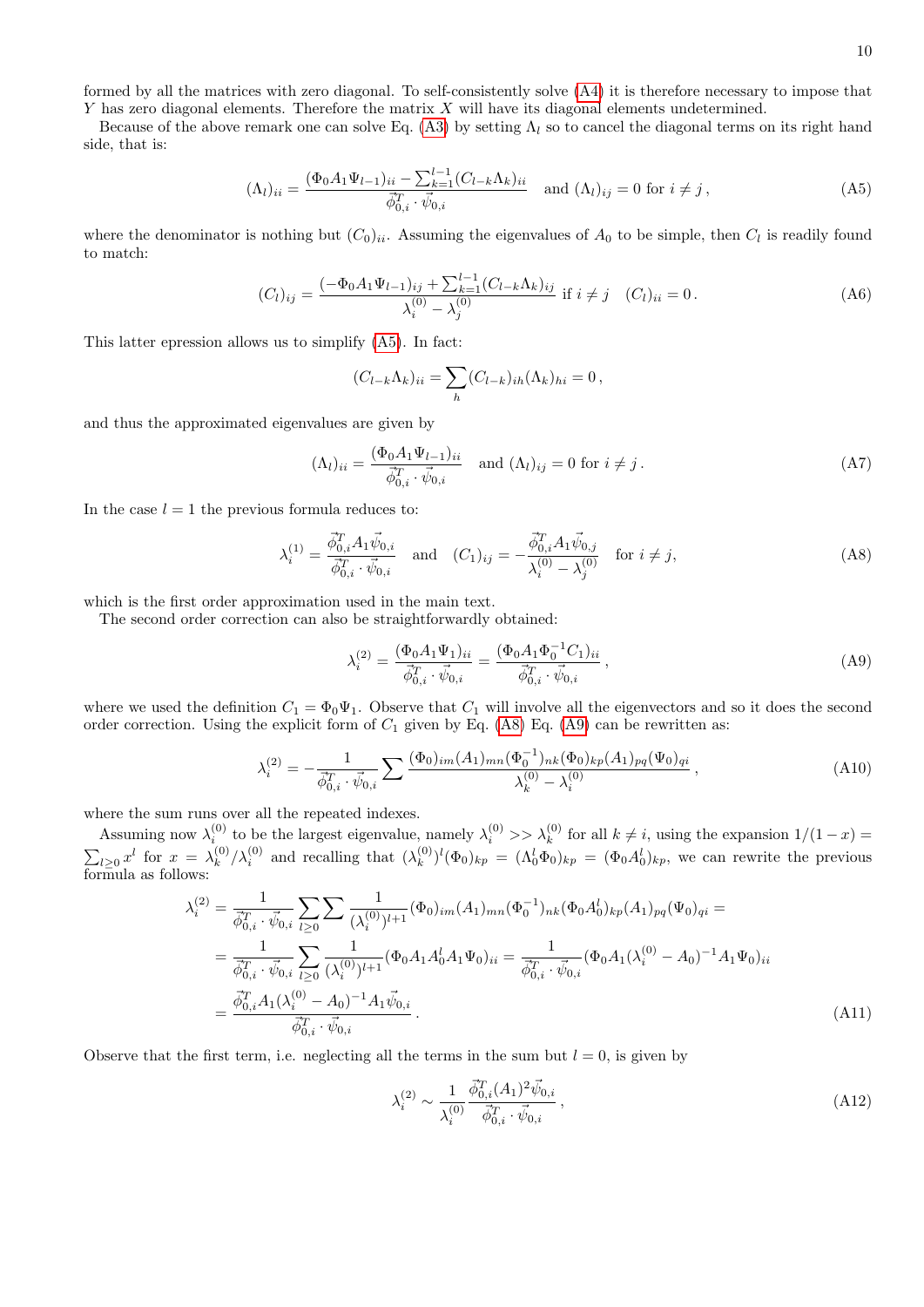formed by all the matrices with zero diagonal. To self-consistently solve [\(A4\)](#page-8-4) it is therefore necessary to impose that  $Y$  has zero diagonal elements. Therefore the matrix  $X$  will have its diagonal elements undetermined.

Because of the above remark one can solve Eq. [\(A3\)](#page-8-3) by setting  $\Lambda_l$  so to cancel the diagonal terms on its right hand side, that is:

<span id="page-9-0"></span>
$$
(\Lambda_l)_{ii} = \frac{(\Phi_0 A_1 \Psi_{l-1})_{ii} - \sum_{k=1}^{l-1} (C_{l-k} \Lambda_k)_{ii}}{\vec{\phi}_{0,i}^T \cdot \vec{\psi}_{0,i}} \quad \text{and } (\Lambda_l)_{ij} = 0 \text{ for } i \neq j,
$$
\n(A5)

where the denominator is nothing but  $(C_0)_{ii}$ . Assuming the eigenvalues of  $A_0$  to be simple, then  $C_l$  is readily found to match:

$$
(C_l)_{ij} = \frac{(-\Phi_0 A_1 \Psi_{l-1})_{ij} + \sum_{k=1}^{l-1} (C_{l-k} \Lambda_k)_{ij}}{\lambda_i^{(0)} - \lambda_j^{(0)}} \text{ if } i \neq j \quad (C_l)_{ii} = 0. \tag{A6}
$$

This latter epression allows us to simplify [\(A5\)](#page-9-0). In fact:

$$
(C_{l-k}\Lambda_k)_{ii} = \sum_h (C_{l-k})_{ih} (\Lambda_k)_{hi} = 0,
$$

and thus the approximated eigenvalues are given by

$$
(\Lambda_l)_{ii} = \frac{(\Phi_0 A_1 \Psi_{l-1})_{ii}}{\vec{\phi}_{0,i}^T \cdot \vec{\psi}_{0,i}} \quad \text{and } (\Lambda_l)_{ij} = 0 \text{ for } i \neq j.
$$
 (A7)

In the case  $l = 1$  the previous formula reduces to:

<span id="page-9-1"></span>
$$
\lambda_i^{(1)} = \frac{\vec{\phi}_{0,i}^T A_1 \vec{\psi}_{0,i}}{\vec{\phi}_{0,i}^T \cdot \vec{\psi}_{0,i}} \quad \text{and} \quad (C_1)_{ij} = -\frac{\vec{\phi}_{0,i}^T A_1 \vec{\psi}_{0,j}}{\lambda_i^{(0)} - \lambda_j^{(0)}} \quad \text{for } i \neq j,
$$
\n(A8)

which is the first order approximation used in the main text.

The second order correction can also be straightforwardly obtained:

<span id="page-9-2"></span>
$$
\lambda_i^{(2)} = \frac{(\Phi_0 A_1 \Psi_1)_{ii}}{\vec{\phi}_{0,i}^T \cdot \vec{\psi}_{0,i}} = \frac{(\Phi_0 A_1 \Phi_0^{-1} C_1)_{ii}}{\vec{\phi}_{0,i}^T \cdot \vec{\psi}_{0,i}},
$$
\n(A9)

where we used the definition  $C_1 = \Phi_0 \Psi_1$ . Observe that  $C_1$  will involve all the eigenvectors and so it does the second order correction. Using the explicit form of  $C_1$  given by Eq. [\(A8\)](#page-9-1) Eq. [\(A9\)](#page-9-2) can be rewritten as:

$$
\lambda_i^{(2)} = -\frac{1}{\vec{\phi}_{0,i}^T \cdot \vec{\psi}_{0,i}} \sum \frac{(\Phi_0)_{im}(A_1)_{mn} (\Phi_0^{-1})_{nk} (\Phi_0)_{kp}(A_1)_{pq} (\Psi_0)_{qi}}{\lambda_k^{(0)} - \lambda_i^{(0)}} ,
$$
\n(A10)

where the sum runs over all the repeated indexes.

Assuming now  $\lambda_i^{(0)}$  to be the largest eigenvalue, namely  $\lambda_i^{(0)} >> \lambda_k^{(0)}$  for all  $k \neq i$ , using the expansion  $1/(1-x) =$  $\sum_{l\geq 0} x^l$  for  $x = \lambda_k^{(0)}$  $\binom{0}{k}$   $\lambda_i^{(0)}$  and recalling that  $\lambda_k^{(0)}$  $(k)$ <sup>(0)</sup>)<sup>*l*</sup>( $\Phi_0$ )<sub>*kp*</sub> = ( $\Lambda_0^l \Phi_0$ )<sub>*kp*</sub> = ( $\Phi_0 A_0^l$ )<sub>*kp*</sub>, we can rewrite the previous formula as follows:

$$
\lambda_i^{(2)} = \frac{1}{\vec{\phi}_{0,i}^T \cdot \vec{\psi}_{0,i}} \sum_{l \ge 0} \sum \frac{1}{(\lambda_i^{(0)})^{l+1}} (\Phi_0)_{im} (A_1)_{mn} (\Phi_0^{-1})_{nk} (\Phi_0 A_0^l)_{kp} (A_1)_{pq} (\Psi_0)_{qi} =
$$
  
\n
$$
= \frac{1}{\vec{\phi}_{0,i}^T \cdot \vec{\psi}_{0,i}} \sum_{l \ge 0} \frac{1}{(\lambda_i^{(0)})^{l+1}} (\Phi_0 A_1 A_0^l A_1 \Psi_0)_{ii} = \frac{1}{\vec{\phi}_{0,i}^T \cdot \vec{\psi}_{0,i}} (\Phi_0 A_1 (\lambda_i^{(0)} - A_0)^{-1} A_1 \Psi_0)_{ii}
$$
  
\n
$$
= \frac{\vec{\phi}_{0,i}^T A_1 (\lambda_i^{(0)} - A_0)^{-1} A_1 \vec{\psi}_{0,i}}{\vec{\phi}_{0,i}^T \cdot \vec{\psi}_{0,i}}.
$$
\n(A11)

Observe that the first term, i.e. neglecting all the terms in the sum but  $l = 0$ , is given by

$$
\lambda_i^{(2)} \sim \frac{1}{\lambda_i^{(0)}} \frac{\vec{\phi}_{0,i}^T (A_1)^2 \vec{\psi}_{0,i}}{\vec{\phi}_{0,i}^T \cdot \vec{\psi}_{0,i}},\tag{A12}
$$